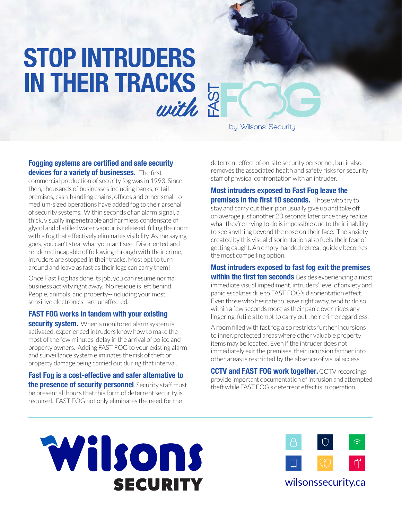# **STOP INTRUDERS IN THEIR TRACKS**   $with \begin{bmatrix} 5 \\ 8 \\ 1 \end{bmatrix}$

by Wilsons Security

#### **Fogging systems are certified and safe security devices for a variety of businesses.** The first

commercial production of security fog was in 1993. Since then, thousands of businesses including banks, retail premises, cash-handling chains, offices and other small to medium-sized operations have added fog to their arsenal of security systems. Within seconds of an alarm signal, a thick, visually impenetrable and harmless condensate of glycol and distilled water vapour is released, filling the room with a fog that effectively eliminates visibility. As the saying goes, you can't steal what you can't see. Disoriented and rendered incapable of following through with their crime, intruders are stopped in their tracks. Most opt to turn around and leave as fast as their legs can carry them!

Once Fast Fog has done its job, you can resume normal business activity right away. No residue is left behind. People, animals, and property--including your most sensitive electronics--are unaffected.

#### **FAST FOG works in tandem with your existing**

**security system.** When a monitored alarm system is activated, experienced intruders know how to make the most of the few minutes' delay in the arrival of police and property owners. Adding FAST FOG to your existing alarm and surveillance system eliminates the risk of theft or property damage being carried out during that interval.

**Fast Fog is a cost-effective and safer alternative to the presence of security personnel**. Security staff must be present all hours that this form of deterrent security is required. FAST FOG not only eliminates the need for the

deterrent effect of on-site security personnel, but it also removes the associated health and safety risks for security staff of physical confrontation with an intruder.

#### **Most intruders exposed to Fast Fog leave the**

**premises in the first 10 seconds.** Those who try to stay and carry out their plan usually give up and take off on average just another 20 seconds later once they realize what they're trying to do is impossible due to their inability to see anything beyond the nose on their face. The anxiety created by this visual disorientation also fuels their fear of getting caught. An empty-handed retreat quickly becomes the most compelling option.

**Most intruders exposed to fast fog exit the premises within the first ten seconds** Besides experiencing almost immediate visual impediment, intruders' level of anxiety and panic escalates due to FAST FOG's disorientation effect. Even those who hesitate to leave right away, tend to do so within a few seconds more as their panic over-rides any lingering, futile attempt to carry out their crime regardless.

A room filled with fast fog also restricts further incursions to inner, protected areas where other valuable property items may be located. Even if the intruder does not immediately exit the premises, their incursion farther into other areas is restricted by the absence of visual access.

**CCTV and FAST FOG work together.** CCTV recordings provide important documentation of intrusion and attempted theft while FAST FOG's deterrent effect is in operation.





### wilsonssecurity.ca